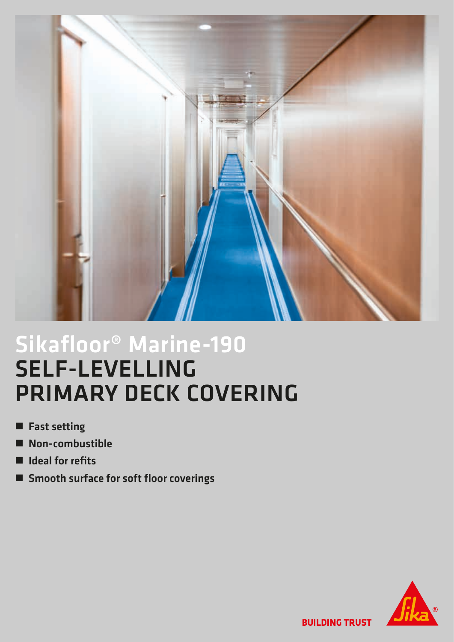

## Sikafloor® Marine-190 SELF-LEVELLING PRIMARY DECK COVERING

- **n** Fast setting
- $\blacksquare$  Non-combustible
- $\blacksquare$  Ideal for refits
- Smooth surface for soft floor coverings



**BUILDING TRUST**